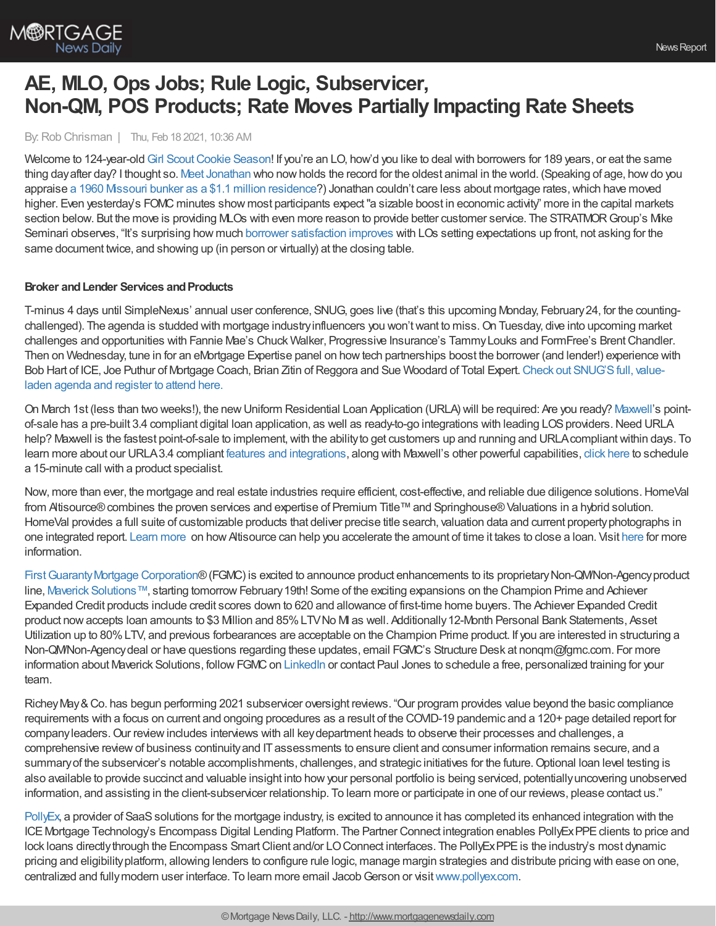

# **AE, MLO, Ops Jobs; Rule Logic, Subservicer, Non-QM, POS Products; Rate Moves Partially Impacting Rate Sheets**

By:Rob Chrisman | Thu, Feb 18 2021, 10:36 AM

Welcome to 124-year-old Girl Scout Cookie Season! If you're an LO, how'd you like to deal with borrowers for 189 years, or eat the same thing dayafter day? I thought so. Meet [Jonathan](https://www.thedodo.com/in-the-wild/tortoise-jonathan-oldest-animal-in-the-world) who nowholds the record for the oldest animal in the world. (Speaking of age, howdo you appraise a 1960 Missouri bunker as a \$1.1 million [residence?](https://www.zillow.com/homedetails/2191-SW-Zack-Wheat-Dr-Polo-MO-64671/252368496_zpid/?fbclid=IwAR0C2fktwQSf6W6lvizgyIz3H_bj3xZHId0Nro86zOmHOD9m1GET3Z7QKq4)) Jonathan couldn't care less about mortgage rates, which have moved higher. Even yesterday's FOMC minutes show most participants expect "a sizable boost in economic activity" more in the capital markets section below. But the move is providing MLOs with even more reason to provide better customer service. The STRATMOR Group's Mike Seminari observes, "It's surprising how much borrower [satisfaction](https://www.stratmorgroup.com/insights_article/the-seven-commandments-for-optimizing-the-customer-experience/) improves with LOs setting expectations up front, not asking for the same document twice, and showing up (in person or virtually) at the closing table.

### **Broker** and Lender Services and Products

T-minus 4 days until SimpleNexus' annual user conference, SNUG, goes live (that's this upcoming Monday, February24, for the countingchallenged). The agenda is studded with mortgage industry influencers you won't want to miss. On Tuesday, dive into upcoming market challenges and opportunities with Fannie Mae's Chuck Walker, Progressive Insurance's TammyLouks and FormFree's BrentChandler. Then on Wednesday, tune in for an eMortgage Expertise panel on howtech partnerships boost the borrower (and lender!) experience with Bob Hart of ICE, Joe Puthur of Mortgage Coach, Brian Zitin of Reggora and Sue Woodard of Total Expert. Check out SNUG'S full, valueladen agenda and register to attend here.

On March 1st (less than two weeks!), the newUniform Residential Loan Application (URLA) will be required: Are you ready? [Maxwell](https://himaxwell.com/?utm_source=RC&utm_medium=RC_CTA)'s pointof-sale has a pre-built 3.4 compliant digital loan application, as well as ready-to-go integrations with leading LOS providers. Need URLA help? Maxwell is the fastest point-of-sale to implement, with the ability to get customers up and running and URLA compliant within days. To learn more about our URLA3.4 compliant features and [integrations](https://himaxwell.com/features?utm_source=RC&utm_medium=RC_CTA), along with Maxwell's other powerful capabilities, click [here](https://himaxwell.com/request-a-demo/?utm_source=RC&utm_medium=RC_CTA) to schedule a 15-minute call with a product specialist.

Now, more than ever, the mortgage and real estate industries require efficient, cost-effective, and reliable due diligence solutions.HomeVal from Altisource® combines the proven services and expertise of Premium Title™ and Springhouse® Valuations in a hybrid solution. HomeVal provides a full suite of customizable products that deliver precise title search, valuation data and current property photographs in one integrated report. [Learn](https://pages.altisource.com/chrisman-ss-homeval.html) more on howAltisource can help you accelerate the amount of time it takes to close a loan. Visit [here](https://pages.altisource.com/chrisman-ss-homeval.html) for more information.

First Guaranty Mortgage Corporation® (FGMC) is excited to announce product enhancements to its proprietary Non-QM/Non-Agency product line, Maverick [Solutions™](http://www.fgmc.com/maverick-solutions/), starting tomorrow February 19th! Some of the exciting expansions on the Champion Prime and Achiever Expanded Credit products include credit scores down to 620 and allowance of first-time home buyers. The Achiever Expanded Credit product nowaccepts loan amounts to \$3 Million and 85%LTVNo MI as well. Additionally12-Month Personal Bank Statements, Asset Utilization up to 80%LTV, and previous forbearances are acceptable on the Champion Prime product. If you are interested in structuring a Non-QM/Non-Agency deal or have questions regarding these updates, email FGMC's Structure Desk at nonqm@fgmc.com. For more information about Maverick Solutions, follow FGMC on [LinkedIn](https://www.linkedin.com/company/first-guaranty-mortgage-corp/) or contact Paul Jones to schedule a free, personalized training for your team.

RicheyMay&Co. has begun performing 2021 subservicer oversight reviews. "Our program provides value beyond the basic compliance requirements with a focus on current and ongoing procedures as a result of the COVID-19 pandemic and a 120+ page detailed report for company leaders. Our review includes interviews with all key department heads to observe their processes and challenges, a comprehensive reviewof business continuityand ITassessments to ensure client and consumer information remains secure, and a summary of the subservicer's notable accomplishments, challenges, and strategic initiatives for the future. Optional loan level testing is also available to provide succinct and valuable insight into howyour personal portfolio is being serviced, potentiallyuncovering unobserved information, and assisting in the client-subservicer relationship. To learn more or participate in one of our reviews, please contact us."

[PollyEx](https://www.pollyex.com/), a provider of SaaS solutions for the mortgage industry, is excited to announce it has completed its enhanced integration with the ICE Mortgage Technology's Encompass Digital Lending Platform. The Partner Connect integration enables PollyEx PPE clients to price and lock loans directly through the Encompass Smart Client and/or LO Connect interfaces. The PollyExPPE is the industry's most dynamic pricing and eligibilityplatform, allowing lenders to configure rule logic, manage margin strategies and distribute pricing with ease on one, centralized and fully modern user interface. To learn more email Jacob Gerson or visit [www.pollyex.com](http://r20.rs6.net/tn.jsp?f=0010XBLLqs2dN4UifEPGLX_kJQ1_cOoF3WnF_LO5VmdYgtC4eS3oGEhxj2q0wIeLdV-gAoDdALIjAFjFXonozLrbcdYyV-bBKS4LeyLTThksgdjPSUqFGY00GtMZvRtU-SvT2syZ1kX_5Q5MeUZvl85Zg==&c=PWoOnC-6jNRU0vUkKwCzOMH55fGhZHqORdecdxfCpgymB3QLPE90SA==&ch=FmaLHHvcSFKsntXEEYo-jtdVwfsPEEQfFqnpq9HPMcKqkMoxNuEQYA==).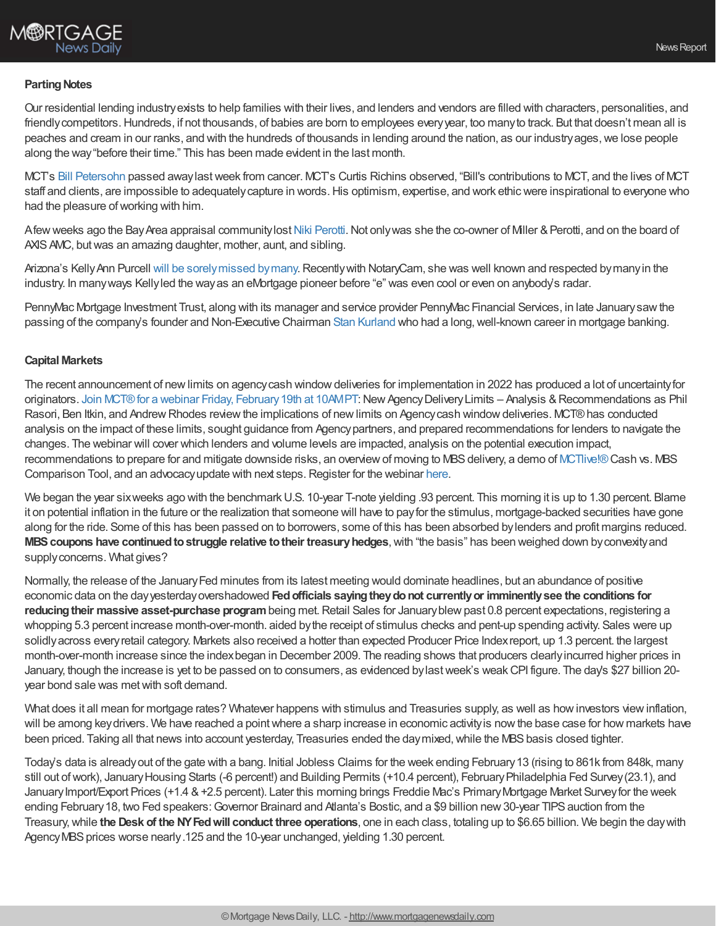

#### **Parting Notes**

Our residential lending industryexists to help families with their lives, and lenders and vendors are filled with characters, personalities, and friendly competitors. Hundreds, if not thousands, of babies are born to employees every year, too many to track. But that doesn't mean all is peaches and cream in our ranks, and with the hundreds of thousands in lending around the nation, as our industryages,we lose people along the way"before their time." This has been made evident in the last month.

MCT's Bill [Petersohn](https://lownes.com/tribute/details/2561/William-Petersohn/obituary.html?) passed awaylastweek from cancer. MCT's Curtis Richins observed, "Bill's contributions to MCT, and the lives of MCT staff and clients, are impossible to adequately capture in words. His optimism, expertise, and work ethic were inspirational to everyone who had the pleasure of working with him.

Afew weeks ago the Bay Area appraisal community lost Niki [Perotti.](https://www.gofundme.com/f/veronica-perotti-memorial-fund) Not only was she the co-owner of Miller & Perotti, and on the board of AXIS AMC, but was an amazing daughter, mother, aunt, and sibling.

Arizona's Kelly Ann Purcell will be sorely missed by many. Recently with NotaryCam, she was well known and respected by many in the industry. In manyways Kellyled the wayas an eMortgage pioneer before "e" was even cool or even on anybody's radar.

PennyMac Mortgage Investment Trust, along with its manager and service provider PennyMac Financial Services, in late January saw the passing of the company's founder and Non-Executive Chairman Stan [Kurland](https://www.nasdaq.com/press-release/pennymac-mourns-passing-of-stan-kurland-founder-and-chairman-2021-01-25) who had a long, well-known career in mortgage banking.

#### **Capital Markets**

The recent announcement of new limits on agency cash window deliveries for implementation in 2022 has produced a lot of uncertainty for originators. Join MCT® for a webinar Friday, February 19th at 10AMPT: New Agency Delivery Limits – Analysis & Recommendations as Phil Rasori, Ben Itkin, and Andrew Rhodes review the implications of new limits on Agency cash window deliveries. MCT® has conducted analysis on the impact of these limits, sought guidance from Agencypartners, and prepared recommendations for lenders to navigate the changes. The webinar will cover which lenders and volume levels are impacted, analysis on the potential execution impact, recommendations to prepare for and mitigate downside risks, an overview of moving to MBS delivery, a demo of [MCTlive!®](https://mct-trading.com/solutions/mortgage-hedging/mctlive/?utm_source=ChrismanCommentary&utm_medium=email&utm_campaign=Feb18) Cash vs. MBS Comparison Tool, and an advocacyupdate with next steps.Register for the webinar [here](https://mct-trading.com/webinar-new-agency-delivery-limits/?utm_source=ChrismanCommentary&utm_medium=email&utm_campaign=Feb18).

We began the year sixweeks ago with the benchmark U.S. 10-year T-note yielding .93 percent. This morning it is up to 1.30 percent. Blame it on potential inflation in the future or the realization that someone will have to payfor the stimulus, mortgage-backed securities have gone along for the ride. Some of this has been passed on to borrowers, some of this has been absorbed bylenders and profit margins reduced. **MBS coupons have continued to struggle relative to their treasury hedges, with "the basis" has been weighed down by convexity and** supply concerns. What gives?

Normally, the release of the January Fed minutes from its latest meeting would dominate headlines, but an abundance of positive economic data on the dayyesterdayovershadowed **Fedofficials sayingtheydonot currentlyor imminentlysee the conditions for reducing their massive asset-purchase program** being met. Retail Sales for January blew past 0.8 percent expectations, registering a whopping 5.3 percent increase month-over-month. aided bythe receipt of stimulus checks and pent-up spending activity. Sales were up solidlyacross everyretail category. Markets also received a hotter than expected Producer Price Indexreport, up 1.3 percent. the largest month-over-month increase since the indexbegan in December 2009. The reading shows that producers clearlyincurred higher prices in January, though the increase is yet to be passed on to consumers, as evidenced bylastweek's weakCPI figure. The day's \$27 billion 20 year bond sale was metwith soft demand.

What does it all mean for mortgage rates? Whatever happens with stimulus and Treasuries supply, as well as how investors view inflation, will be among key drivers. We have reached a point where a sharp increase in economic activity is now the base case for how markets have been priced. Taking all that news into account yesterday, Treasuries ended the day mixed, while the MBS basis closed tighter.

Today's data is alreadyout of the gate with a bang. Initial Jobless Claims for the week ending February13 (rising to 861k from 848k, many still out of work), January Housing Starts (-6 percent!) and Building Permits (+10.4 percent), February Philadelphia Fed Survey (23.1), and January Import/Export Prices (+1.4 & +2.5 percent). Later this morning brings Freddie Mac's Primary Mortgage Market Survey for the week ending February 18, two Fed speakers: Governor Brainard and Atlanta's Bostic, and a \$9 billion new 30-year TIPS auction from the Treasury,while **the Desk of the NYFedwill conduct three operations**, one in each class, totaling up to \$6.65 billion. We begin the daywith Agency MBS prices worse nearly.125 and the 10-year unchanged, yielding 1.30 percent.